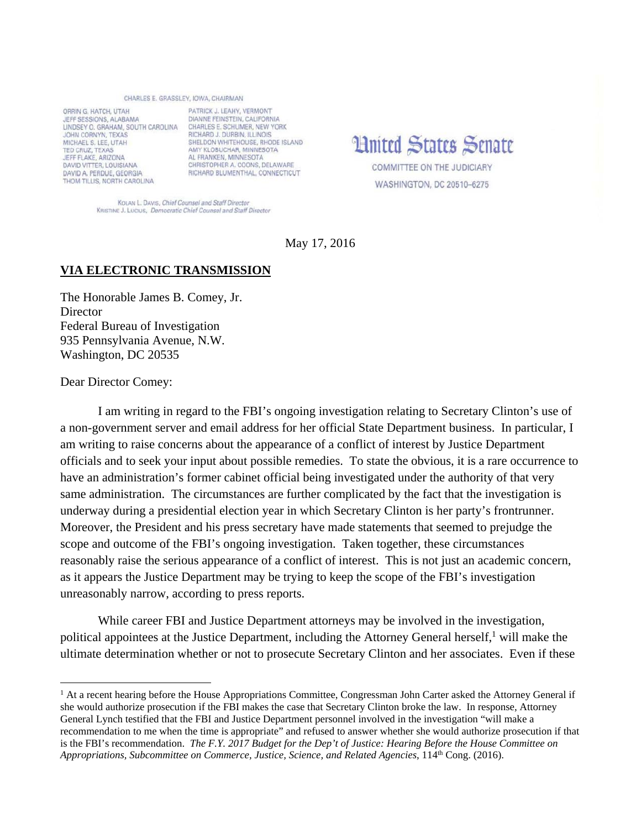## CHARLES E. GRASSLEY, JOWA, CHAIRMAN

ORRIN G. HATCH, UTAH JEFF SESSIONS, ALABAMA LINDSEY O. GRAHAM, SOUTH CAROLINA JOHN CORNYN, TEXAS MICHAEL S. LEE, UTAH TED CRUZ, TEXAS JEFF FLAKE, ARIZONA DAVID VITTER, LOUISIANA DAVID A, PERDUE, GEORGIA THOM TILLIS, NORTH CAROLINA

PATRICK J. LEAHY, VERMONT DIANNE FEINSTEIN, CALIFORNIA CHARLES E. SCHUMER, NEW YORK RICHARD J. DURBIN, ILLINOIS SHELDON WHITEHOUSE, RHODE ISLAND AMY KLOBUCHAR, MINNESOTA AL FRANKEN, MINNESOTA CHRISTOPHER A. COONS. DELAWARE RICHARD BLUMENTHAL, CONNECTICUT

**Hnited States Senate** COMMITTEE ON THE JUDICIARY WASHINGTON, DC 20510-6275

KOLAN L. DAVIS, Chief Counsel and Staff Director KRISTINE J. LUCIUS, Democratic Chief Counsel and Staff Director

May 17, 2016

## **VIA ELECTRONIC TRANSMISSION**

The Honorable James B. Comey, Jr. **Director** Federal Bureau of Investigation 935 Pennsylvania Avenue, N.W. Washington, DC 20535

Dear Director Comey:

 $\overline{a}$ 

I am writing in regard to the FBI's ongoing investigation relating to Secretary Clinton's use of a non-government server and email address for her official State Department business. In particular, I am writing to raise concerns about the appearance of a conflict of interest by Justice Department officials and to seek your input about possible remedies. To state the obvious, it is a rare occurrence to have an administration's former cabinet official being investigated under the authority of that very same administration. The circumstances are further complicated by the fact that the investigation is underway during a presidential election year in which Secretary Clinton is her party's frontrunner. Moreover, the President and his press secretary have made statements that seemed to prejudge the scope and outcome of the FBI's ongoing investigation. Taken together, these circumstances reasonably raise the serious appearance of a conflict of interest. This is not just an academic concern, as it appears the Justice Department may be trying to keep the scope of the FBI's investigation unreasonably narrow, according to press reports.

While career FBI and Justice Department attorneys may be involved in the investigation, political appointees at the Justice Department, including the Attorney General herself,<sup>1</sup> will make the ultimate determination whether or not to prosecute Secretary Clinton and her associates. Even if these

<sup>&</sup>lt;sup>1</sup> At a recent hearing before the House Appropriations Committee, Congressman John Carter asked the Attorney General if she would authorize prosecution if the FBI makes the case that Secretary Clinton broke the law. In response, Attorney General Lynch testified that the FBI and Justice Department personnel involved in the investigation "will make a recommendation to me when the time is appropriate" and refused to answer whether she would authorize prosecution if that is the FBI's recommendation. *The F.Y. 2017 Budget for the Dep't of Justice: Hearing Before the House Committee on Appropriations, Subcommittee on Commerce, Justice, Science, and Related Agencies*, 114th Cong. (2016).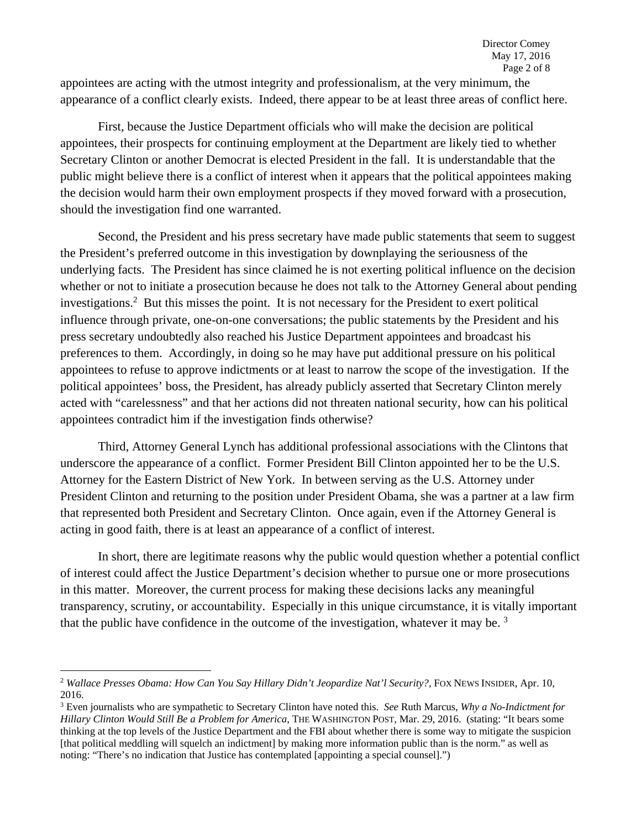appointees are acting with the utmost integrity and professionalism, at the very minimum, the appearance of a conflict clearly exists. Indeed, there appear to be at least three areas of conflict here.

First, because the Justice Department officials who will make the decision are political appointees, their prospects for continuing employment at the Department are likely tied to whether Secretary Clinton or another Democrat is elected President in the fall. It is understandable that the public might believe there is a conflict of interest when it appears that the political appointees making the decision would harm their own employment prospects if they moved forward with a prosecution, should the investigation find one warranted.

Second, the President and his press secretary have made public statements that seem to suggest the President's preferred outcome in this investigation by downplaying the seriousness of the underlying facts. The President has since claimed he is not exerting political influence on the decision whether or not to initiate a prosecution because he does not talk to the Attorney General about pending investigations.2 But this misses the point. It is not necessary for the President to exert political influence through private, one-on-one conversations; the public statements by the President and his press secretary undoubtedly also reached his Justice Department appointees and broadcast his preferences to them. Accordingly, in doing so he may have put additional pressure on his political appointees to refuse to approve indictments or at least to narrow the scope of the investigation. If the political appointees' boss, the President, has already publicly asserted that Secretary Clinton merely acted with "carelessness" and that her actions did not threaten national security, how can his political appointees contradict him if the investigation finds otherwise?

Third, Attorney General Lynch has additional professional associations with the Clintons that underscore the appearance of a conflict. Former President Bill Clinton appointed her to be the U.S. Attorney for the Eastern District of New York. In between serving as the U.S. Attorney under President Clinton and returning to the position under President Obama, she was a partner at a law firm that represented both President and Secretary Clinton. Once again, even if the Attorney General is acting in good faith, there is at least an appearance of a conflict of interest.

In short, there are legitimate reasons why the public would question whether a potential conflict of interest could affect the Justice Department's decision whether to pursue one or more prosecutions in this matter. Moreover, the current process for making these decisions lacks any meaningful transparency, scrutiny, or accountability. Especially in this unique circumstance, it is vitally important that the public have confidence in the outcome of the investigation, whatever it may be.<sup>3</sup>

 $\overline{a}$ <sup>2</sup> *Wallace Presses Obama: How Can You Say Hillary Didn't Jeopardize Nat'l Security?,* FOX NEWS INSIDER, Apr. 10, 2016.

<sup>3</sup> Even journalists who are sympathetic to Secretary Clinton have noted this. *See* Ruth Marcus, *Why a No-Indictment for Hillary Clinton Would Still Be a Problem for America*, THE WASHINGTON POST, Mar. 29, 2016. (stating: "It bears some thinking at the top levels of the Justice Department and the FBI about whether there is some way to mitigate the suspicion [that political meddling will squelch an indictment] by making more information public than is the norm." as well as noting: "There's no indication that Justice has contemplated [appointing a special counsel].")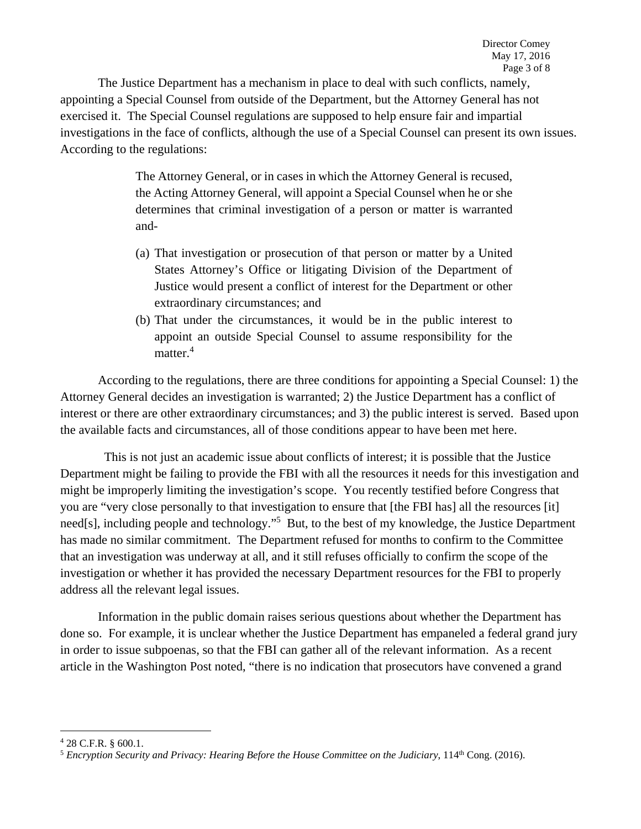The Justice Department has a mechanism in place to deal with such conflicts, namely, appointing a Special Counsel from outside of the Department, but the Attorney General has not exercised it. The Special Counsel regulations are supposed to help ensure fair and impartial investigations in the face of conflicts, although the use of a Special Counsel can present its own issues. According to the regulations:

> The Attorney General, or in cases in which the Attorney General is recused, the Acting Attorney General, will appoint a Special Counsel when he or she determines that criminal investigation of a person or matter is warranted and-

- (a) That investigation or prosecution of that person or matter by a United States Attorney's Office or litigating Division of the Department of Justice would present a conflict of interest for the Department or other extraordinary circumstances; and
- (b) That under the circumstances, it would be in the public interest to appoint an outside Special Counsel to assume responsibility for the matter.<sup>4</sup>

According to the regulations, there are three conditions for appointing a Special Counsel: 1) the Attorney General decides an investigation is warranted; 2) the Justice Department has a conflict of interest or there are other extraordinary circumstances; and 3) the public interest is served. Based upon the available facts and circumstances, all of those conditions appear to have been met here.

 This is not just an academic issue about conflicts of interest; it is possible that the Justice Department might be failing to provide the FBI with all the resources it needs for this investigation and might be improperly limiting the investigation's scope. You recently testified before Congress that you are "very close personally to that investigation to ensure that [the FBI has] all the resources [it] need[s], including people and technology."<sup>5</sup> But, to the best of my knowledge, the Justice Department has made no similar commitment. The Department refused for months to confirm to the Committee that an investigation was underway at all, and it still refuses officially to confirm the scope of the investigation or whether it has provided the necessary Department resources for the FBI to properly address all the relevant legal issues.

Information in the public domain raises serious questions about whether the Department has done so. For example, it is unclear whether the Justice Department has empaneled a federal grand jury in order to issue subpoenas, so that the FBI can gather all of the relevant information. As a recent article in the Washington Post noted, "there is no indication that prosecutors have convened a grand

<sup>4</sup> 28 C.F.R. § 600.1.

<sup>5</sup> *Encryption Security and Privacy: Hearing Before the House Committee on the Judiciary*, 114th Cong. (2016).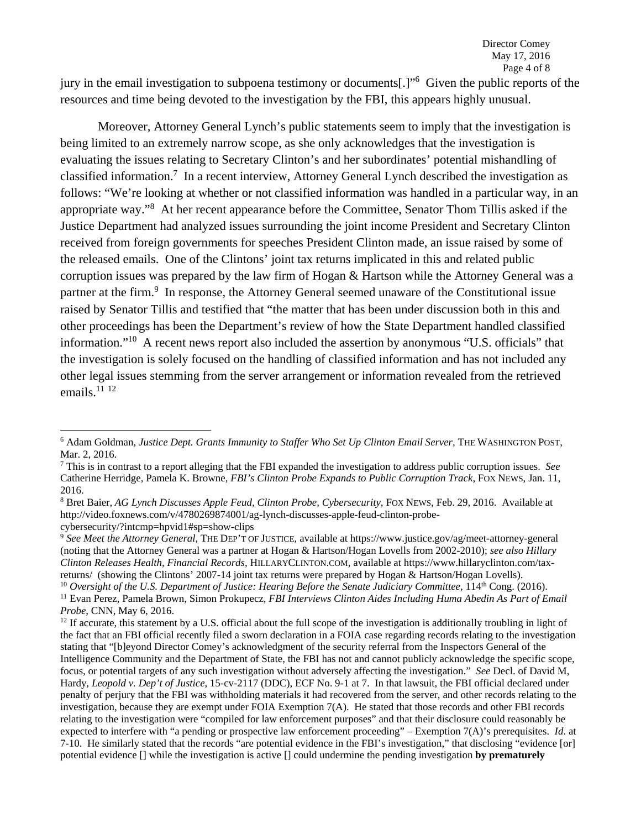jury in the email investigation to subpoena testimony or documents[.]"<sup>6</sup> Given the public reports of the resources and time being devoted to the investigation by the FBI, this appears highly unusual.

Moreover, Attorney General Lynch's public statements seem to imply that the investigation is being limited to an extremely narrow scope, as she only acknowledges that the investigation is evaluating the issues relating to Secretary Clinton's and her subordinates' potential mishandling of classified information.<sup>7</sup> In a recent interview, Attorney General Lynch described the investigation as follows: "We're looking at whether or not classified information was handled in a particular way, in an appropriate way."<sup>8</sup> At her recent appearance before the Committee, Senator Thom Tillis asked if the Justice Department had analyzed issues surrounding the joint income President and Secretary Clinton received from foreign governments for speeches President Clinton made, an issue raised by some of the released emails. One of the Clintons' joint tax returns implicated in this and related public corruption issues was prepared by the law firm of Hogan & Hartson while the Attorney General was a partner at the firm.<sup>9</sup> In response, the Attorney General seemed unaware of the Constitutional issue raised by Senator Tillis and testified that "the matter that has been under discussion both in this and other proceedings has been the Department's review of how the State Department handled classified information."10 A recent news report also included the assertion by anonymous "U.S. officials" that the investigation is solely focused on the handling of classified information and has not included any other legal issues stemming from the server arrangement or information revealed from the retrieved emails. $^{11}$   $^{12}$ 

<sup>6</sup> Adam Goldman, *Justice Dept. Grants Immunity to Staffer Who Set Up Clinton Email Server*, THE WASHINGTON POST, Mar. 2, 2016.

<sup>7</sup> This is in contrast to a report alleging that the FBI expanded the investigation to address public corruption issues. *See* Catherine Herridge, Pamela K. Browne, *FBI's Clinton Probe Expands to Public Corruption Track*, FOX NEWS, Jan. 11, 2016.

<sup>8</sup> Bret Baier, *AG Lynch Discusses Apple Feud, Clinton Probe, Cybersecurity*, FOX NEWS, Feb. 29, 2016. Available at http://video.foxnews.com/v/4780269874001/ag-lynch-discusses-apple-feud-clinton-probecybersecurity/?intcmp=hpvid1#sp=show-clips

<sup>9</sup>  *See Meet the Attorney General*, THE DEP'T OF JUSTICE, available at https://www.justice.gov/ag/meet-attorney-general (noting that the Attorney General was a partner at Hogan & Hartson/Hogan Lovells from 2002-2010); *see also Hillary Clinton Releases Health, Financial Records*, HILLARYCLINTON.COM, available at https://www.hillaryclinton.com/taxreturns/ (showing the Clintons' 2007-14 joint tax returns were prepared by Hogan & Hartson/Hogan Lovells).<br><sup>10</sup> Oversight of the U.S. Department of Justice: Hearing Before the Senate Judiciary Committee, 114<sup>th</sup> Cong. (201

<sup>&</sup>lt;sup>11</sup> Evan Perez, Pamela Brown, Simon Prokupecz, FBI Interviews Clinton Aides Including Huma Abedin As Part of Email *Probe*, CNN, May 6, 2016.<br><sup>12</sup> If accurate, this statement by a U.S. official about the full scope of the investigation is additionally troubling in light of

the fact that an FBI official recently filed a sworn declaration in a FOIA case regarding records relating to the investigation stating that "[b]eyond Director Comey's acknowledgment of the security referral from the Inspectors General of the Intelligence Community and the Department of State, the FBI has not and cannot publicly acknowledge the specific scope, focus, or potential targets of any such investigation without adversely affecting the investigation." *See* Decl. of David M, Hardy, *Leopold v. Dep't of Justice*, 15-cv-2117 (DDC), ECF No. 9-1 at 7. In that lawsuit, the FBI official declared under penalty of perjury that the FBI was withholding materials it had recovered from the server, and other records relating to the investigation, because they are exempt under FOIA Exemption 7(A). He stated that those records and other FBI records relating to the investigation were "compiled for law enforcement purposes" and that their disclosure could reasonably be expected to interfere with "a pending or prospective law enforcement proceeding" – Exemption 7(A)'s prerequisites. *Id*. at 7-10. He similarly stated that the records "are potential evidence in the FBI's investigation," that disclosing "evidence [or] potential evidence [] while the investigation is active [] could undermine the pending investigation **by prematurely**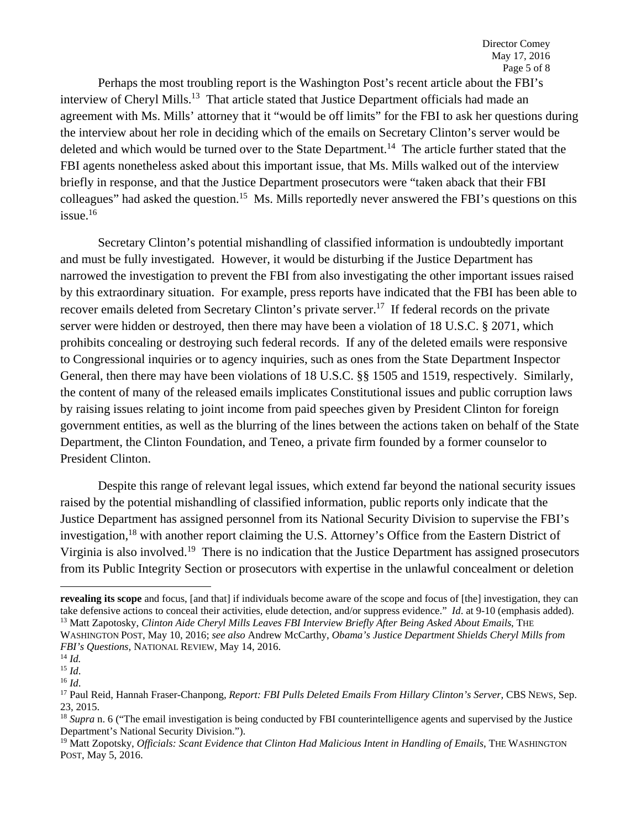Perhaps the most troubling report is the Washington Post's recent article about the FBI's interview of Cheryl Mills.<sup>13</sup> That article stated that Justice Department officials had made an agreement with Ms. Mills' attorney that it "would be off limits" for the FBI to ask her questions during the interview about her role in deciding which of the emails on Secretary Clinton's server would be deleted and which would be turned over to the State Department.<sup>14</sup> The article further stated that the FBI agents nonetheless asked about this important issue, that Ms. Mills walked out of the interview briefly in response, and that the Justice Department prosecutors were "taken aback that their FBI colleagues" had asked the question.<sup>15</sup> Ms. Mills reportedly never answered the FBI's questions on this issue.16

Secretary Clinton's potential mishandling of classified information is undoubtedly important and must be fully investigated. However, it would be disturbing if the Justice Department has narrowed the investigation to prevent the FBI from also investigating the other important issues raised by this extraordinary situation. For example, press reports have indicated that the FBI has been able to recover emails deleted from Secretary Clinton's private server.<sup>17</sup> If federal records on the private server were hidden or destroyed, then there may have been a violation of 18 U.S.C. § 2071, which prohibits concealing or destroying such federal records. If any of the deleted emails were responsive to Congressional inquiries or to agency inquiries, such as ones from the State Department Inspector General, then there may have been violations of 18 U.S.C. §§ 1505 and 1519, respectively. Similarly, the content of many of the released emails implicates Constitutional issues and public corruption laws by raising issues relating to joint income from paid speeches given by President Clinton for foreign government entities, as well as the blurring of the lines between the actions taken on behalf of the State Department, the Clinton Foundation, and Teneo, a private firm founded by a former counselor to President Clinton.

Despite this range of relevant legal issues, which extend far beyond the national security issues raised by the potential mishandling of classified information, public reports only indicate that the Justice Department has assigned personnel from its National Security Division to supervise the FBI's investigation,<sup>18</sup> with another report claiming the U.S. Attorney's Office from the Eastern District of Virginia is also involved.19 There is no indication that the Justice Department has assigned prosecutors from its Public Integrity Section or prosecutors with expertise in the unlawful concealment or deletion

**revealing its scope** and focus, [and that] if individuals become aware of the scope and focus of [the] investigation, they can take defensive actions to conceal their activities, elude detection, and/or suppress evidence." *Id.* at 9-10 (emphasis added).<br><sup>13</sup> Matt Zapotosky, *Clinton Aide Cheryl Mills Leaves FBI Interview Briefly After Being Asked* WASHINGTON POST, May 10, 2016; *see also* Andrew McCarthy, *Obama's Justice Department Shields Cheryl Mills from* 

*FBI's Questions*, NATIONAL REVIEW, May 14, 2016.<br><sup>14</sup> *Id.*<br><sup>15</sup> *Id.* <sup>16</sup> *Id.* 16 *Id.* 16 *Id.* 16 *Id.* 16 *Id.* 16 *Id.* 17 Paul Reser-Chanpong, *Report: FBI Pulls Deleted Emails From Hillary Clinton's Server*, CBS 23, 2015.

<sup>&</sup>lt;sup>18</sup> *Supra* n. 6 ("The email investigation is being conducted by FBI counterintelligence agents and supervised by the Justice Department's National Security Division.").

<sup>&</sup>lt;sup>19</sup> Matt Zopotsky, *Officials: Scant Evidence that Clinton Had Malicious Intent in Handling of Emails*, THE WASHINGTON POST, May 5, 2016.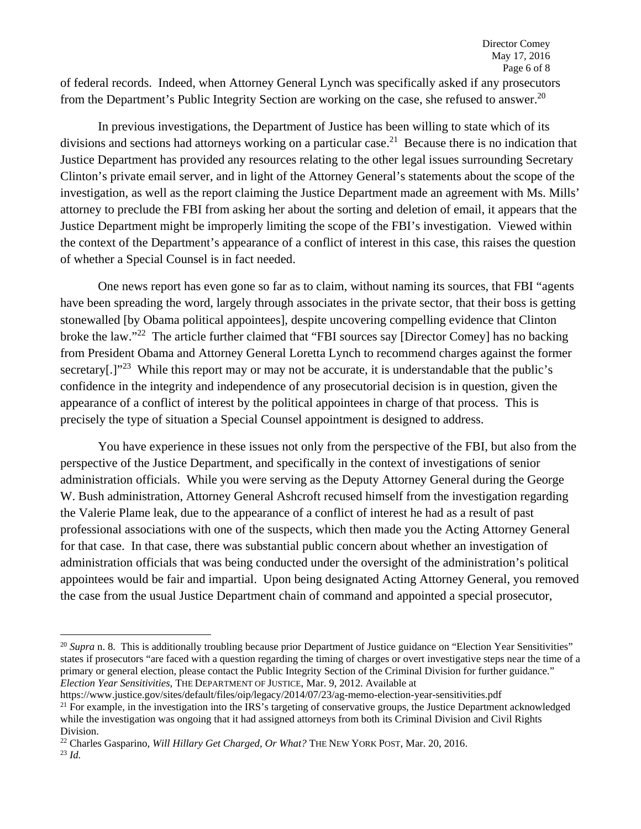of federal records. Indeed, when Attorney General Lynch was specifically asked if any prosecutors from the Department's Public Integrity Section are working on the case, she refused to answer.<sup>20</sup>

In previous investigations, the Department of Justice has been willing to state which of its divisions and sections had attorneys working on a particular case.<sup>21</sup> Because there is no indication that Justice Department has provided any resources relating to the other legal issues surrounding Secretary Clinton's private email server, and in light of the Attorney General's statements about the scope of the investigation, as well as the report claiming the Justice Department made an agreement with Ms. Mills' attorney to preclude the FBI from asking her about the sorting and deletion of email, it appears that the Justice Department might be improperly limiting the scope of the FBI's investigation. Viewed within the context of the Department's appearance of a conflict of interest in this case, this raises the question of whether a Special Counsel is in fact needed.

One news report has even gone so far as to claim, without naming its sources, that FBI "agents have been spreading the word, largely through associates in the private sector, that their boss is getting stonewalled [by Obama political appointees], despite uncovering compelling evidence that Clinton broke the law."22 The article further claimed that "FBI sources say [Director Comey] has no backing from President Obama and Attorney General Loretta Lynch to recommend charges against the former secretary[.]"<sup>23</sup> While this report may or may not be accurate, it is understandable that the public's confidence in the integrity and independence of any prosecutorial decision is in question, given the appearance of a conflict of interest by the political appointees in charge of that process. This is precisely the type of situation a Special Counsel appointment is designed to address.

You have experience in these issues not only from the perspective of the FBI, but also from the perspective of the Justice Department, and specifically in the context of investigations of senior administration officials. While you were serving as the Deputy Attorney General during the George W. Bush administration, Attorney General Ashcroft recused himself from the investigation regarding the Valerie Plame leak, due to the appearance of a conflict of interest he had as a result of past professional associations with one of the suspects, which then made you the Acting Attorney General for that case. In that case, there was substantial public concern about whether an investigation of administration officials that was being conducted under the oversight of the administration's political appointees would be fair and impartial. Upon being designated Acting Attorney General, you removed the case from the usual Justice Department chain of command and appointed a special prosecutor,

<sup>&</sup>lt;sup>20</sup> *Supra* n. 8. This is additionally troubling because prior Department of Justice guidance on "Election Year Sensitivities" states if prosecutors "are faced with a question regarding the timing of charges or overt investigative steps near the time of a primary or general election, please contact the Public Integrity Section of the Criminal Division for further guidance." *Election Year Sensitivities*, THE DEPARTMENT OF JUSTICE, Mar. 9, 2012. Available at

https://www.justice.gov/sites/default/files/oip/legacy/2014/07/23/ag-memo-election-year-sensitivities.pdf<br><sup>21</sup> For example, in the investigation into the IRS's targeting of conservative groups, the Justice Department ackno

while the investigation was ongoing that it had assigned attorneys from both its Criminal Division and Civil Rights Division.

<sup>22</sup> Charles Gasparino, *Will Hillary Get Charged, Or What?* THE NEW YORK POST, Mar. 20, 2016. 23 *Id.*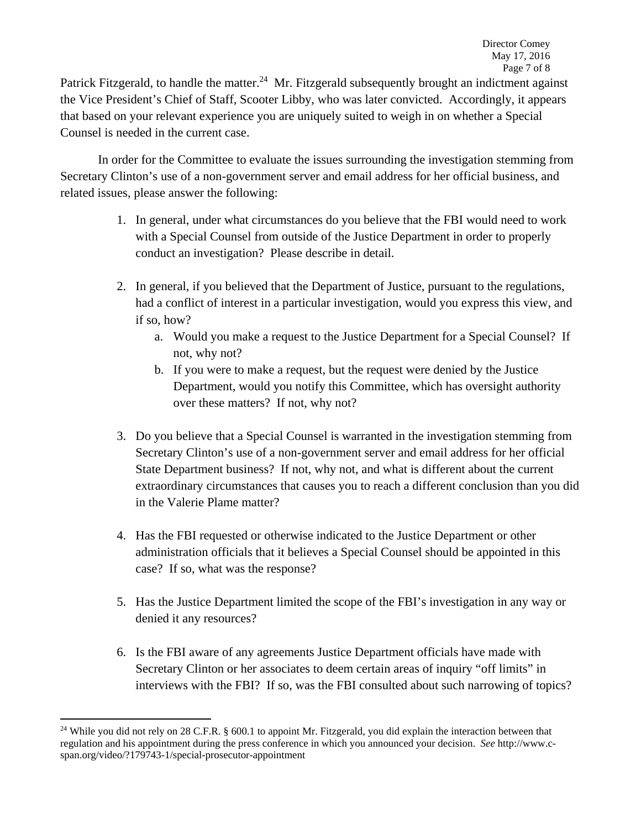Patrick Fitzgerald, to handle the matter.<sup>24</sup> Mr. Fitzgerald subsequently brought an indictment against the Vice President's Chief of Staff, Scooter Libby, who was later convicted. Accordingly, it appears that based on your relevant experience you are uniquely suited to weigh in on whether a Special Counsel is needed in the current case.

In order for the Committee to evaluate the issues surrounding the investigation stemming from Secretary Clinton's use of a non-government server and email address for her official business, and related issues, please answer the following:

- 1. In general, under what circumstances do you believe that the FBI would need to work with a Special Counsel from outside of the Justice Department in order to properly conduct an investigation? Please describe in detail.
- 2. In general, if you believed that the Department of Justice, pursuant to the regulations, had a conflict of interest in a particular investigation, would you express this view, and if so, how?
	- a. Would you make a request to the Justice Department for a Special Counsel? If not, why not?
	- b. If you were to make a request, but the request were denied by the Justice Department, would you notify this Committee, which has oversight authority over these matters? If not, why not?
- 3. Do you believe that a Special Counsel is warranted in the investigation stemming from Secretary Clinton's use of a non-government server and email address for her official State Department business? If not, why not, and what is different about the current extraordinary circumstances that causes you to reach a different conclusion than you did in the Valerie Plame matter?
- 4. Has the FBI requested or otherwise indicated to the Justice Department or other administration officials that it believes a Special Counsel should be appointed in this case? If so, what was the response?
- 5. Has the Justice Department limited the scope of the FBI's investigation in any way or denied it any resources?
- 6. Is the FBI aware of any agreements Justice Department officials have made with Secretary Clinton or her associates to deem certain areas of inquiry "off limits" in interviews with the FBI? If so, was the FBI consulted about such narrowing of topics?

<sup>&</sup>lt;sup>24</sup> While you did not rely on 28 C.F.R. § 600.1 to appoint Mr. Fitzgerald, you did explain the interaction between that regulation and his appointment during the press conference in which you announced your decision. *See* http://www.cspan.org/video/?179743-1/special-prosecutor-appointment